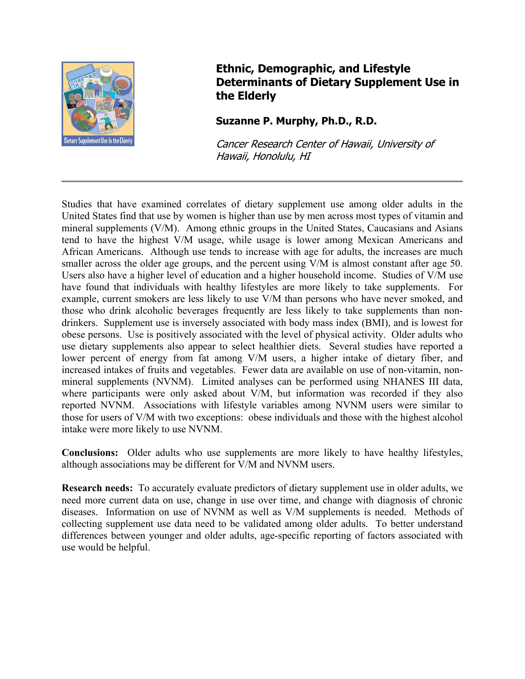

## **Ethnic, Demographic, and Lifestyle Determinants of Dietary Supplement Use in the Elderly**

## **Suzanne P. Murphy, Ph.D., R.D.**

Cancer Research Center of Hawaii, University of Hawaii, Honolulu, HI

Studies that have examined correlates of dietary supplement use among older adults in the United States find that use by women is higher than use by men across most types of vitamin and mineral supplements (V/M). Among ethnic groups in the United States, Caucasians and Asians tend to have the highest V/M usage, while usage is lower among Mexican Americans and African Americans. Although use tends to increase with age for adults, the increases are much smaller across the older age groups, and the percent using V/M is almost constant after age 50. Users also have a higher level of education and a higher household income. Studies of V/M use have found that individuals with healthy lifestyles are more likely to take supplements. For example, current smokers are less likely to use V/M than persons who have never smoked, and those who drink alcoholic beverages frequently are less likely to take supplements than nondrinkers. Supplement use is inversely associated with body mass index (BMI), and is lowest for obese persons. Use is positively associated with the level of physical activity. Older adults who use dietary supplements also appear to select healthier diets. Several studies have reported a lower percent of energy from fat among V/M users, a higher intake of dietary fiber, and increased intakes of fruits and vegetables. Fewer data are available on use of non-vitamin, nonmineral supplements (NVNM). Limited analyses can be performed using NHANES III data, where participants were only asked about V/M, but information was recorded if they also reported NVNM. Associations with lifestyle variables among NVNM users were similar to those for users of V/M with two exceptions: obese individuals and those with the highest alcohol intake were more likely to use NVNM.

**Conclusions:** Older adults who use supplements are more likely to have healthy lifestyles, although associations may be different for V/M and NVNM users.

**Research needs:** To accurately evaluate predictors of dietary supplement use in older adults, we need more current data on use, change in use over time, and change with diagnosis of chronic diseases. Information on use of NVNM as well as V/M supplements is needed. Methods of collecting supplement use data need to be validated among older adults. To better understand differences between younger and older adults, age-specific reporting of factors associated with use would be helpful.